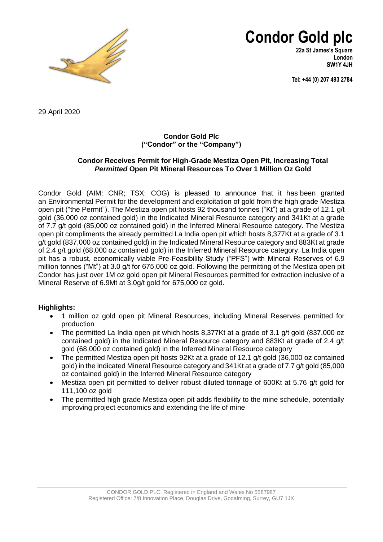

# **Condor Gold plc**

**22a St James's Square London SW1Y 4JH**

**Tel: +44 (0) 207 493 2784**

29 April 2020

## **Condor Gold Plc ("Condor" or the "Company")**

# **Condor Receives Permit for High-Grade Mestiza Open Pit, Increasing Total**  *Permitted* **Open Pit Mineral Resources To Over 1 Million Oz Gold**

Condor Gold (AIM: CNR; TSX: COG) is pleased to announce that it has been granted an Environmental Permit for the development and exploitation of gold from the high grade Mestiza open pit ("the Permit"). The Mestiza open pit hosts 92 thousand tonnes ("Kt") at a grade of 12.1 g/t gold (36,000 oz contained gold) in the Indicated Mineral Resource category and 341Kt at a grade of 7.7 g/t gold (85,000 oz contained gold) in the Inferred Mineral Resource category. The Mestiza open pit compliments the already permitted La India open pit which hosts 8,377Kt at a grade of 3.1 g/t gold (837,000 oz contained gold) in the Indicated Mineral Resource category and 883Kt at grade of 2.4 g/t gold (68,000 oz contained gold) in the Inferred Mineral Resource category. La India open pit has a robust, economically viable Pre-Feasibility Study ("PFS") with Mineral Reserves of 6.9 million tonnes ("Mt") at 3.0 g/t for 675,000 oz gold. Following the permitting of the Mestiza open pit Condor has just over 1M oz gold open pit Mineral Resources permitted for extraction inclusive of a Mineral Reserve of 6.9Mt at 3.0g/t gold for 675,000 oz gold.

# **Highlights:**

- 1 million oz gold open pit Mineral Resources, including Mineral Reserves permitted for production
- The permitted La India open pit which hosts 8,377Kt at a grade of 3.1 g/t gold (837,000 oz contained gold) in the Indicated Mineral Resource category and 883Kt at grade of 2.4 g/t gold (68,000 oz contained gold) in the Inferred Mineral Resource category
- The permitted Mestiza open pit hosts 92Kt at a grade of 12.1 g/t gold (36,000 oz contained gold) in the Indicated Mineral Resource category and 341Kt at a grade of 7.7 g/t gold (85,000 oz contained gold) in the Inferred Mineral Resource category
- Mestiza open pit permitted to deliver robust diluted tonnage of 600Kt at 5.76 g/t gold for 111,100 oz gold
- The permitted high grade Mestiza open pit adds flexibility to the mine schedule, potentially improving project economics and extending the life of mine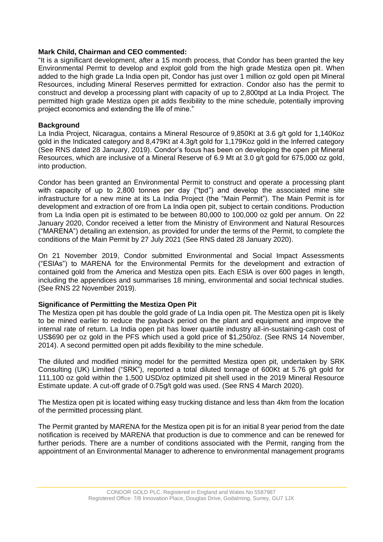## **Mark Child, Chairman and CEO commented:**

"It is a significant development, after a 15 month process, that Condor has been granted the key Environmental Permit to develop and exploit gold from the high grade Mestiza open pit. When added to the high grade La India open pit, Condor has just over 1 million oz gold open pit Mineral Resources, including Mineral Reserves permitted for extraction. Condor also has the permit to construct and develop a processing plant with capacity of up to 2,800tpd at La India Project. The permitted high grade Mestiza open pit adds flexibility to the mine schedule, potentially improving project economics and extending the life of mine."

## **Background**

La India Project, Nicaragua, contains a Mineral Resource of 9,850Kt at 3.6 g/t gold for 1,140Koz gold in the Indicated category and 8,479Kt at 4.3g/t gold for 1,179Koz gold in the Inferred category (See RNS dated 28 January, 2019). Condor's focus has been on developing the open pit Mineral Resources, which are inclusive of a Mineral Reserve of 6.9 Mt at 3.0 g/t gold for 675,000 oz gold, into production.

Condor has been granted an Environmental Permit to construct and operate a processing plant with capacity of up to 2,800 tonnes per day ("tpd") and develop the associated mine site infrastructure for a new mine at its La India Project (the "Main Permit"). The Main Permit is for development and extraction of ore from La India open pit, subject to certain conditions. Production from La India open pit is estimated to be between 80,000 to 100,000 oz gold per annum. On 22 January 2020, Condor received a letter from the Ministry of Environment and Natural Resources ("MARENA") detailing an extension, as provided for under the terms of the Permit, to complete the conditions of the Main Permit by 27 July 2021 (See RNS dated 28 January 2020).

On 21 November 2019, Condor submitted Environmental and Social Impact Assessments ("ESIAs") to MARENA for the Environmental Permits for the development and extraction of contained gold from the America and Mestiza open pits. Each ESIA is over 600 pages in length, including the appendices and summarises 18 mining, environmental and social technical studies. (See RNS 22 November 2019).

## **Significance of Permitting the Mestiza Open Pit**

The Mestiza open pit has double the gold grade of La India open pit. The Mestiza open pit is likely to be mined earlier to reduce the payback period on the plant and equipment and improve the internal rate of return. La India open pit has lower quartile industry all-in-sustaining-cash cost of US\$690 per oz gold in the PFS which used a gold price of \$1,250/oz. (See RNS 14 November, 2014). A second permitted open pit adds flexibility to the mine schedule.

The diluted and modified mining model for the permitted Mestiza open pit, undertaken by SRK Consulting (UK) Limited ("SRK"), reported a total diluted tonnage of 600Kt at 5.76 g/t gold for 111,100 oz gold within the 1,500 USD/oz optimized pit shell used in the 2019 Mineral Resource Estimate update. A cut-off grade of 0.75g/t gold was used. (See RNS 4 March 2020).

The Mestiza open pit is located withing easy trucking distance and less than 4km from the location of the permitted processing plant.

The Permit granted by MARENA for the Mestiza open pit is for an initial 8 year period from the date notification is received by MARENA that production is due to commence and can be renewed for further periods. There are a number of conditions associated with the Permit, ranging from the appointment of an Environmental Manager to adherence to environmental management programs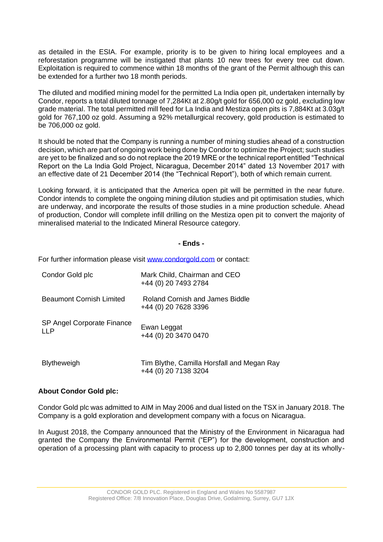as detailed in the ESIA. For example, priority is to be given to hiring local employees and a reforestation programme will be instigated that plants 10 new trees for every tree cut down. Exploitation is required to commence within 18 months of the grant of the Permit although this can be extended for a further two 18 month periods.

The diluted and modified mining model for the permitted La India open pit, undertaken internally by Condor, reports a total diluted tonnage of 7,284Kt at 2.80g/t gold for 656,000 oz gold, excluding low grade material. The total permitted mill feed for La India and Mestiza open pits is 7,884Kt at 3.03g/t gold for 767,100 oz gold. Assuming a 92% metallurgical recovery, gold production is estimated to be 706,000 oz gold.

It should be noted that the Company is running a number of mining studies ahead of a construction decision, which are part of ongoing work being done by Condor to optimize the Project; such studies are yet to be finalized and so do not replace the 2019 MRE or the technical report entitled "Technical Report on the La India Gold Project, Nicaragua, December 2014" dated 13 November 2017 with an effective date of 21 December 2014 (the "Technical Report"), both of which remain current.

Looking forward, it is anticipated that the America open pit will be permitted in the near future. Condor intends to complete the ongoing mining dilution studies and pit optimisation studies, which are underway, and incorporate the results of those studies in a mine production schedule. Ahead of production, Condor will complete infill drilling on the Mestiza open pit to convert the majority of mineralised material to the Indicated Mineral Resource category.

## **- Ends -**

For further information please visit www.condorgold.com or contact:

| Condor Gold plc                          | Mark Child, Chairman and CEO<br>+44 (0) 20 7493 2784               |
|------------------------------------------|--------------------------------------------------------------------|
| <b>Beaumont Cornish Limited</b>          | Roland Cornish and James Biddle<br>+44 (0) 20 7628 3396            |
| SP Angel Corporate Finance<br><b>LLP</b> | Ewan Leggat<br>+44 (0) 20 3470 0470                                |
| <b>Blytheweigh</b>                       | Tim Blythe, Camilla Horsfall and Megan Ray<br>+44 (0) 20 7138 3204 |

## **About Condor Gold plc:**

Condor Gold plc was admitted to AIM in May 2006 and dual listed on the TSX in January 2018. The Company is a gold exploration and development company with a focus on Nicaragua.

In August 2018, the Company announced that the Ministry of the Environment in Nicaragua had granted the Company the Environmental Permit ("EP") for the development, construction and operation of a processing plant with capacity to process up to 2,800 tonnes per day at its wholly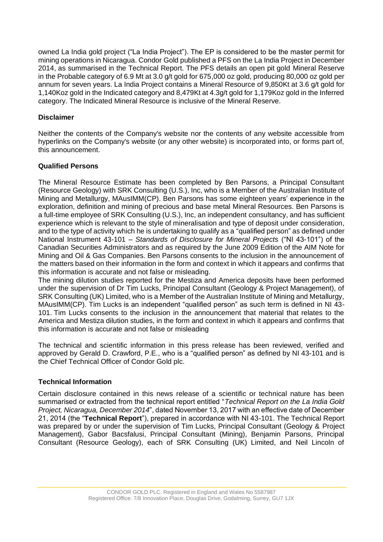owned La India gold project ("La India Project"). The EP is considered to be the master permit for mining operations in Nicaragua. Condor Gold published a PFS on the La India Project in December 2014, as summarised in the Technical Report. The PFS details an open pit gold Mineral Reserve in the Probable category of 6.9 Mt at 3.0 g/t gold for 675,000 oz gold, producing 80,000 oz gold per annum for seven years. La India Project contains a Mineral Resource of 9,850Kt at 3.6 g/t gold for 1,140Koz gold in the Indicated category and 8,479Kt at 4.3g/t gold for 1,179Koz gold in the Inferred category. The Indicated Mineral Resource is inclusive of the Mineral Reserve.

# **Disclaimer**

Neither the contents of the Company's website nor the contents of any website accessible from hyperlinks on the Company's website (or any other website) is incorporated into, or forms part of, this announcement.

# **Qualified Persons**

The Mineral Resource Estimate has been completed by Ben Parsons, a Principal Consultant (Resource Geology) with SRK Consulting (U.S.), Inc, who is a Member of the Australian Institute of Mining and Metallurgy, MAusIMM(CP). Ben Parsons has some eighteen years' experience in the exploration, definition and mining of precious and base metal Mineral Resources. Ben Parsons is a full-time employee of SRK Consulting (U.S.), Inc, an independent consultancy, and has sufficient experience which is relevant to the style of mineralisation and type of deposit under consideration, and to the type of activity which he is undertaking to qualify as a "qualified person" as defined under National Instrument 43-101 – *Standards of Disclosure for Mineral Projects* ("NI 43-101") of the Canadian Securities Administrators and as required by the June 2009 Edition of the AIM Note for Mining and Oil & Gas Companies. Ben Parsons consents to the inclusion in the announcement of the matters based on their information in the form and context in which it appears and confirms that this information is accurate and not false or misleading.

The mining dilution studies reported for the Mestiza and America deposits have been performed under the supervision of Dr Tim Lucks, Principal Consultant (Geology & Project Management), of SRK Consulting (UK) Limited, who is a Member of the Australian Institute of Mining and Metallurgy, MAusIMM(CP). Tim Lucks is an independent "qualified person" as such term is defined in NI 43- 101. Tim Lucks consents to the inclusion in the announcement that material that relates to the America and Mestiza dilution studies, in the form and context in which it appears and confirms that this information is accurate and not false or misleading

The technical and scientific information in this press release has been reviewed, verified and approved by Gerald D. Crawford, P.E., who is a "qualified person" as defined by NI 43-101 and is the Chief Technical Officer of Condor Gold plc.

# **Technical Information**

Certain disclosure contained in this news release of a scientific or technical nature has been summarised or extracted from the technical report entitled "*Technical Report on the La India Gold Project, Nicaragua, December 2014*", dated November 13, 2017 with an effective date of December 21, 2014 (the "**Technical Report**"), prepared in accordance with NI 43-101. The Technical Report was prepared by or under the supervision of Tim Lucks, Principal Consultant (Geology & Project Management), Gabor Bacsfalusi, Principal Consultant (Mining), Benjamin Parsons, Principal Consultant (Resource Geology), each of SRK Consulting (UK) Limited, and Neil Lincoln of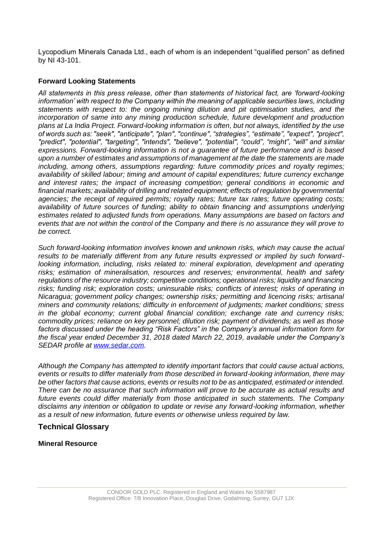Lycopodium Minerals Canada Ltd., each of whom is an independent "qualified person" as defined by NI 43-101.

## **Forward Looking Statements**

*All statements in this press release, other than statements of historical fact, are 'forward-looking information' with respect to the Company within the meaning of applicable securities laws, including statements with respect to: the ongoing mining dilution and pit optimisation studies, and the incorporation of same into any mining production schedule, future development and production plans at La India Project. Forward-looking information is often, but not always, identified by the use of words such as: "seek", "anticipate", "plan", "continue", "strategies", "estimate", "expect", "project", "predict", "potential", "targeting", "intends", "believe", "potential", "could", "might", "will" and similar expressions. Forward-looking information is not a guarantee of future performance and is based upon a number of estimates and assumptions of management at the date the statements are made including, among others, assumptions regarding: future commodity prices and royalty regimes; availability of skilled labour; timing and amount of capital expenditures; future currency exchange and interest rates; the impact of increasing competition; general conditions in economic and financial markets; availability of drilling and related equipment; effects of regulation by governmental agencies; the receipt of required permits; royalty rates; future tax rates; future operating costs; availability of future sources of funding; ability to obtain financing and assumptions underlying estimates related to adjusted funds from operations. Many assumptions are based on factors and events that are not within the control of the Company and there is no assurance they will prove to be correct.* 

*Such forward-looking information involves known and unknown risks, which may cause the actual results to be materially different from any future results expressed or implied by such forwardlooking information, including, risks related to: mineral exploration, development and operating risks; estimation of mineralisation, resources and reserves; environmental, health and safety regulations of the resource industry; competitive conditions; operational risks; liquidity and financing risks; funding risk; exploration costs; uninsurable risks; conflicts of interest; risks of operating in Nicaragua; government policy changes; ownership risks; permitting and licencing risks; artisanal miners and community relations; difficulty in enforcement of judgments; market conditions; stress in the global economy; current global financial condition; exchange rate and currency risks; commodity prices; reliance on key personnel; dilution risk; payment of dividends; as well as those factors discussed under the heading "Risk Factors" in the Company's annual information form for the fiscal year ended December 31, 2018 dated March 22, 2019, available under the Company's SEDAR profile at [www.sedar.com.](http://www.sedar.com/)*

*Although the Company has attempted to identify important factors that could cause actual actions, events or results to differ materially from those described in forward-looking information, there may be other factors that cause actions, events or results not to be as anticipated, estimated or intended. There can be no assurance that such information will prove to be accurate as actual results and future events could differ materially from those anticipated in such statements. The Company disclaims any intention or obligation to update or revise any forward-looking information, whether as a result of new information, future events or otherwise unless required by law.*

# **Technical Glossary**

## **Mineral Resource**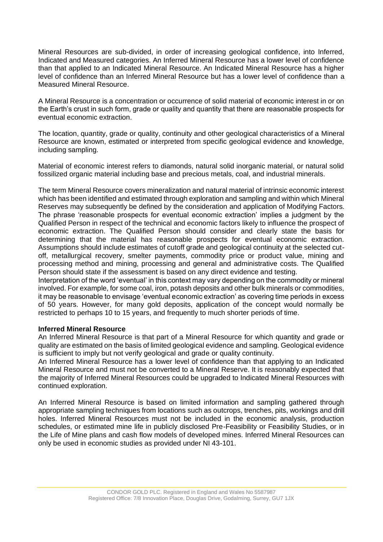Mineral Resources are sub-divided, in order of increasing geological confidence, into Inferred, Indicated and Measured categories. An Inferred Mineral Resource has a lower level of confidence than that applied to an Indicated Mineral Resource. An Indicated Mineral Resource has a higher level of confidence than an Inferred Mineral Resource but has a lower level of confidence than a Measured Mineral Resource.

A Mineral Resource is a concentration or occurrence of solid material of economic interest in or on the Earth's crust in such form, grade or quality and quantity that there are reasonable prospects for eventual economic extraction.

The location, quantity, grade or quality, continuity and other geological characteristics of a Mineral Resource are known, estimated or interpreted from specific geological evidence and knowledge, including sampling.

Material of economic interest refers to diamonds, natural solid inorganic material, or natural solid fossilized organic material including base and precious metals, coal, and industrial minerals.

The term Mineral Resource covers mineralization and natural material of intrinsic economic interest which has been identified and estimated through exploration and sampling and within which Mineral Reserves may subsequently be defined by the consideration and application of Modifying Factors. The phrase 'reasonable prospects for eventual economic extraction' implies a judgment by the Qualified Person in respect of the technical and economic factors likely to influence the prospect of economic extraction. The Qualified Person should consider and clearly state the basis for determining that the material has reasonable prospects for eventual economic extraction. Assumptions should include estimates of cutoff grade and geological continuity at the selected cutoff, metallurgical recovery, smelter payments, commodity price or product value, mining and processing method and mining, processing and general and administrative costs. The Qualified Person should state if the assessment is based on any direct evidence and testing.

Interpretation of the word 'eventual' in this context may vary depending on the commodity or mineral involved. For example, for some coal, iron, potash deposits and other bulk minerals or commodities, it may be reasonable to envisage 'eventual economic extraction' as covering time periods in excess of 50 years. However, for many gold deposits, application of the concept would normally be restricted to perhaps 10 to 15 years, and frequently to much shorter periods of time.

### **Inferred Mineral Resource**

An Inferred Mineral Resource is that part of a Mineral Resource for which quantity and grade or quality are estimated on the basis of limited geological evidence and sampling. Geological evidence is sufficient to imply but not verify geological and grade or quality continuity.

An Inferred Mineral Resource has a lower level of confidence than that applying to an Indicated Mineral Resource and must not be converted to a Mineral Reserve. It is reasonably expected that the majority of Inferred Mineral Resources could be upgraded to Indicated Mineral Resources with continued exploration.

An Inferred Mineral Resource is based on limited information and sampling gathered through appropriate sampling techniques from locations such as outcrops, trenches, pits, workings and drill holes. Inferred Mineral Resources must not be included in the economic analysis, production schedules, or estimated mine life in publicly disclosed Pre-Feasibility or Feasibility Studies, or in the Life of Mine plans and cash flow models of developed mines. Inferred Mineral Resources can only be used in economic studies as provided under NI 43-101.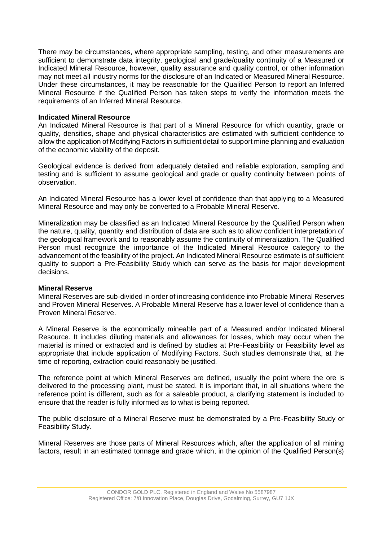There may be circumstances, where appropriate sampling, testing, and other measurements are sufficient to demonstrate data integrity, geological and grade/quality continuity of a Measured or Indicated Mineral Resource, however, quality assurance and quality control, or other information may not meet all industry norms for the disclosure of an Indicated or Measured Mineral Resource. Under these circumstances, it may be reasonable for the Qualified Person to report an Inferred Mineral Resource if the Qualified Person has taken steps to verify the information meets the requirements of an Inferred Mineral Resource.

## **Indicated Mineral Resource**

An Indicated Mineral Resource is that part of a Mineral Resource for which quantity, grade or quality, densities, shape and physical characteristics are estimated with sufficient confidence to allow the application of Modifying Factors in sufficient detail to support mine planning and evaluation of the economic viability of the deposit.

Geological evidence is derived from adequately detailed and reliable exploration, sampling and testing and is sufficient to assume geological and grade or quality continuity between points of observation.

An Indicated Mineral Resource has a lower level of confidence than that applying to a Measured Mineral Resource and may only be converted to a Probable Mineral Reserve.

Mineralization may be classified as an Indicated Mineral Resource by the Qualified Person when the nature, quality, quantity and distribution of data are such as to allow confident interpretation of the geological framework and to reasonably assume the continuity of mineralization. The Qualified Person must recognize the importance of the Indicated Mineral Resource category to the advancement of the feasibility of the project. An Indicated Mineral Resource estimate is of sufficient quality to support a Pre-Feasibility Study which can serve as the basis for major development decisions.

### **Mineral Reserve**

Mineral Reserves are sub-divided in order of increasing confidence into Probable Mineral Reserves and Proven Mineral Reserves. A Probable Mineral Reserve has a lower level of confidence than a Proven Mineral Reserve.

A Mineral Reserve is the economically mineable part of a Measured and/or Indicated Mineral Resource. It includes diluting materials and allowances for losses, which may occur when the material is mined or extracted and is defined by studies at Pre-Feasibility or Feasibility level as appropriate that include application of Modifying Factors. Such studies demonstrate that, at the time of reporting, extraction could reasonably be justified.

The reference point at which Mineral Reserves are defined, usually the point where the ore is delivered to the processing plant, must be stated. It is important that, in all situations where the reference point is different, such as for a saleable product, a clarifying statement is included to ensure that the reader is fully informed as to what is being reported.

The public disclosure of a Mineral Reserve must be demonstrated by a Pre-Feasibility Study or Feasibility Study.

Mineral Reserves are those parts of Mineral Resources which, after the application of all mining factors, result in an estimated tonnage and grade which, in the opinion of the Qualified Person(s)